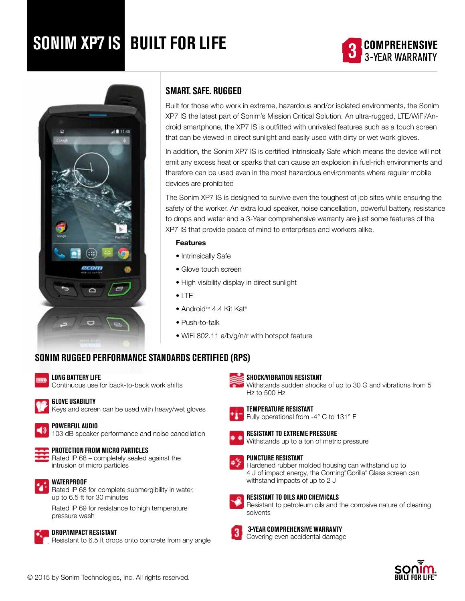# **SONIM XP7 IS BUILT FOR LIFE**





# **SMART. SAFE. RUGGED**

Built for those who work in extreme, hazardous and/or isolated environments, the Sonim XP7 IS the latest part of Sonim's Mission Critical Solution. An ultra-rugged, LTE/WiFi/Android smartphone, the XP7 IS is outfitted with unrivaled features such as a touch screen that can be viewed in direct sunlight and easily used with dirty or wet work gloves.

In addition, the Sonim XP7 IS is certified Intrinsically Safe which means the device will not emit any excess heat or sparks that can cause an explosion in fuel-rich environments and therefore can be used even in the most hazardous environments where regular mobile devices are prohibited

The Sonim XP7 IS is designed to survive even the toughest of job sites while ensuring the safety of the worker. An extra loud speaker, noise cancellation, powerful battery, resistance to drops and water and a 3-Year comprehensive warranty are just some features of the XP7 IS that provide peace of mind to enterprises and workers alike.

## Features

- Intrinsically Safe
- Glove touch screen
- High visibility display in direct sunlight
- LTE
- Android™ 4.4 Kit Kat®
- Push-to-talk
- WiFi 802.11 a/b/g/n/r with hotspot feature

# **Sonim Rugged Performance Standards Certified (RPS)**



#### **Long Battery Life**

Continuous use for back-to-back work shifts



## **Glove Usability**

Keys and screen can be used with heavy/wet gloves



## **Powerful Audio**

103 dB speaker performance and noise cancellation



## **Protection from Micro Particles**

Rated IP 68 – completely sealed against the intrusion of micro particles



#### **Waterproof**

Rated IP 68 for complete submergibility in water, up to 6.5 ft for 30 minutes

Rated IP 69 for resistance to high temperature pressure wash



#### **3-Year comprehensive Warranty**

solvents

**Shock/Vibration Resistant**

**Temperature Resistant**

**Puncture Resistant**

Fully operational from -4° C to 131° F

Withstands up to a ton of metric pressure

Hardened rubber molded housing can withstand up to 4 J of impact energy, the Corning® Gorilla® Glass screen can

Resistant to petroleum oils and the corrosive nature of cleaning

**Resistant to extreme Pressure**

withstand impacts of up to 2 J

**Resistant to Oils and Chemicals**

Hz to 500 Hz

Withstands sudden shocks of up to 30 G and vibrations from 5

Covering even accidental damage